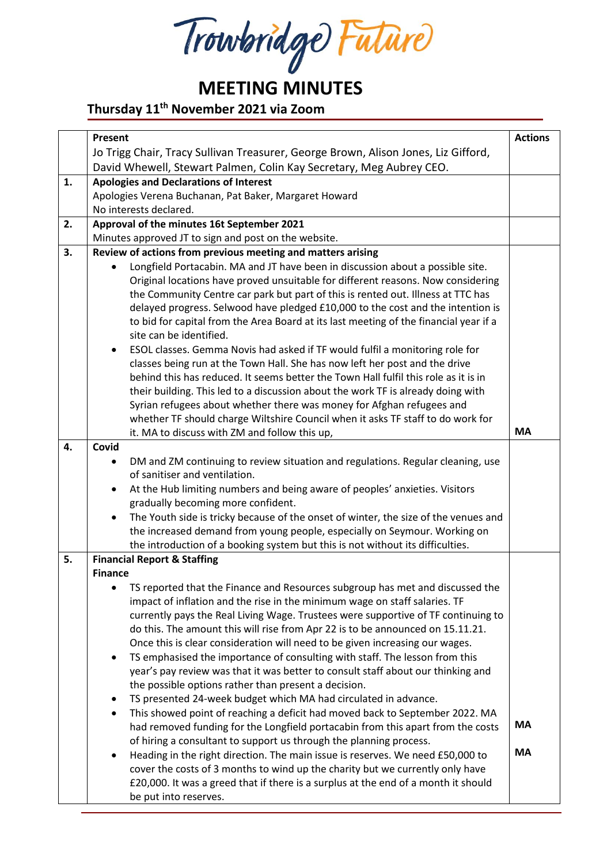Trowbridge Future

# **MEETING MINUTES**

## **Thursday 11 th November 2021 via Zoom**

|    | Present                                                                                                          | <b>Actions</b> |
|----|------------------------------------------------------------------------------------------------------------------|----------------|
|    | Jo Trigg Chair, Tracy Sullivan Treasurer, George Brown, Alison Jones, Liz Gifford,                               |                |
|    | David Whewell, Stewart Palmen, Colin Kay Secretary, Meg Aubrey CEO.                                              |                |
|    |                                                                                                                  |                |
| 1. | <b>Apologies and Declarations of Interest</b>                                                                    |                |
|    | Apologies Verena Buchanan, Pat Baker, Margaret Howard                                                            |                |
|    | No interests declared.                                                                                           |                |
| 2. | Approval of the minutes 16t September 2021                                                                       |                |
|    | Minutes approved JT to sign and post on the website.                                                             |                |
| 3. | Review of actions from previous meeting and matters arising                                                      |                |
|    | Longfield Portacabin. MA and JT have been in discussion about a possible site.                                   |                |
|    | Original locations have proved unsuitable for different reasons. Now considering                                 |                |
|    | the Community Centre car park but part of this is rented out. Illness at TTC has                                 |                |
|    | delayed progress. Selwood have pledged £10,000 to the cost and the intention is                                  |                |
|    | to bid for capital from the Area Board at its last meeting of the financial year if a                            |                |
|    | site can be identified.                                                                                          |                |
|    | ESOL classes. Gemma Novis had asked if TF would fulfil a monitoring role for<br>$\bullet$                        |                |
|    | classes being run at the Town Hall. She has now left her post and the drive                                      |                |
|    | behind this has reduced. It seems better the Town Hall fulfil this role as it is in                              |                |
|    | their building. This led to a discussion about the work TF is already doing with                                 |                |
|    | Syrian refugees about whether there was money for Afghan refugees and                                            |                |
|    | whether TF should charge Wiltshire Council when it asks TF staff to do work for                                  |                |
|    | it. MA to discuss with ZM and follow this up,                                                                    | <b>MA</b>      |
| 4. | Covid                                                                                                            |                |
|    |                                                                                                                  |                |
|    | DM and ZM continuing to review situation and regulations. Regular cleaning, use<br>of sanitiser and ventilation. |                |
|    |                                                                                                                  |                |
|    | At the Hub limiting numbers and being aware of peoples' anxieties. Visitors<br>$\bullet$                         |                |
|    | gradually becoming more confident.                                                                               |                |
|    | The Youth side is tricky because of the onset of winter, the size of the venues and<br>$\bullet$                 |                |
|    | the increased demand from young people, especially on Seymour. Working on                                        |                |
|    | the introduction of a booking system but this is not without its difficulties.                                   |                |
| 5. | <b>Financial Report &amp; Staffing</b>                                                                           |                |
|    | <b>Finance</b>                                                                                                   |                |
|    | TS reported that the Finance and Resources subgroup has met and discussed the                                    |                |
|    | impact of inflation and the rise in the minimum wage on staff salaries. TF                                       |                |
|    | currently pays the Real Living Wage. Trustees were supportive of TF continuing to                                |                |
|    | do this. The amount this will rise from Apr 22 is to be announced on 15.11.21.                                   |                |
|    | Once this is clear consideration will need to be given increasing our wages.                                     |                |
|    | TS emphasised the importance of consulting with staff. The lesson from this<br>$\bullet$                         |                |
|    | year's pay review was that it was better to consult staff about our thinking and                                 |                |
|    | the possible options rather than present a decision.                                                             |                |
|    | TS presented 24-week budget which MA had circulated in advance.<br>$\bullet$                                     |                |
|    | This showed point of reaching a deficit had moved back to September 2022. MA<br>$\bullet$                        |                |
|    | had removed funding for the Longfield portacabin from this apart from the costs                                  | MA             |
|    | of hiring a consultant to support us through the planning process.                                               |                |
|    | Heading in the right direction. The main issue is reserves. We need £50,000 to<br>$\bullet$                      | <b>MA</b>      |
|    | cover the costs of 3 months to wind up the charity but we currently only have                                    |                |
|    |                                                                                                                  |                |
|    | £20,000. It was a greed that if there is a surplus at the end of a month it should                               |                |
|    | be put into reserves.                                                                                            |                |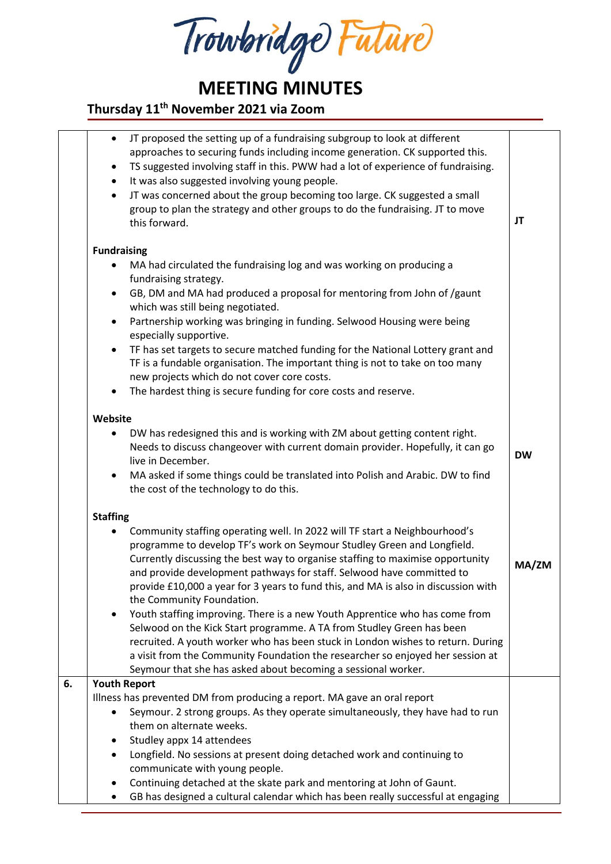Trowbridge Future

**MEETING MINUTES**

#### **Thursday 11 th November 2021 via Zoom**

|    | JT proposed the setting up of a fundraising subgroup to look at different<br>$\bullet$<br>approaches to securing funds including income generation. CK supported this.<br>TS suggested involving staff in this. PWW had a lot of experience of fundraising.<br>٠<br>It was also suggested involving young people.<br>$\bullet$<br>JT was concerned about the group becoming too large. CK suggested a small<br>$\bullet$<br>group to plan the strategy and other groups to do the fundraising. JT to move<br>this forward. | JT        |
|----|----------------------------------------------------------------------------------------------------------------------------------------------------------------------------------------------------------------------------------------------------------------------------------------------------------------------------------------------------------------------------------------------------------------------------------------------------------------------------------------------------------------------------|-----------|
|    | <b>Fundraising</b>                                                                                                                                                                                                                                                                                                                                                                                                                                                                                                         |           |
|    | MA had circulated the fundraising log and was working on producing a                                                                                                                                                                                                                                                                                                                                                                                                                                                       |           |
|    | fundraising strategy.                                                                                                                                                                                                                                                                                                                                                                                                                                                                                                      |           |
|    | GB, DM and MA had produced a proposal for mentoring from John of /gaunt<br>$\bullet$<br>which was still being negotiated.                                                                                                                                                                                                                                                                                                                                                                                                  |           |
|    | Partnership working was bringing in funding. Selwood Housing were being<br>$\bullet$                                                                                                                                                                                                                                                                                                                                                                                                                                       |           |
|    | especially supportive.                                                                                                                                                                                                                                                                                                                                                                                                                                                                                                     |           |
|    | TF has set targets to secure matched funding for the National Lottery grant and<br>$\bullet$                                                                                                                                                                                                                                                                                                                                                                                                                               |           |
|    | TF is a fundable organisation. The important thing is not to take on too many                                                                                                                                                                                                                                                                                                                                                                                                                                              |           |
|    | new projects which do not cover core costs.<br>The hardest thing is secure funding for core costs and reserve.<br>$\bullet$                                                                                                                                                                                                                                                                                                                                                                                                |           |
|    |                                                                                                                                                                                                                                                                                                                                                                                                                                                                                                                            |           |
|    | Website                                                                                                                                                                                                                                                                                                                                                                                                                                                                                                                    |           |
|    | DW has redesigned this and is working with ZM about getting content right.<br>٠                                                                                                                                                                                                                                                                                                                                                                                                                                            |           |
|    | Needs to discuss changeover with current domain provider. Hopefully, it can go<br>live in December.                                                                                                                                                                                                                                                                                                                                                                                                                        | <b>DW</b> |
|    | MA asked if some things could be translated into Polish and Arabic. DW to find<br>$\bullet$                                                                                                                                                                                                                                                                                                                                                                                                                                |           |
|    | the cost of the technology to do this.                                                                                                                                                                                                                                                                                                                                                                                                                                                                                     |           |
|    | <b>Staffing</b>                                                                                                                                                                                                                                                                                                                                                                                                                                                                                                            |           |
|    | Community staffing operating well. In 2022 will TF start a Neighbourhood's                                                                                                                                                                                                                                                                                                                                                                                                                                                 |           |
|    | programme to develop TF's work on Seymour Studley Green and Longfield.                                                                                                                                                                                                                                                                                                                                                                                                                                                     |           |
|    | Currently discussing the best way to organise staffing to maximise opportunity                                                                                                                                                                                                                                                                                                                                                                                                                                             | MA/ZM     |
|    | and provide development pathways for staff. Selwood have committed to<br>provide £10,000 a year for 3 years to fund this, and MA is also in discussion with                                                                                                                                                                                                                                                                                                                                                                |           |
|    | the Community Foundation.                                                                                                                                                                                                                                                                                                                                                                                                                                                                                                  |           |
|    | Youth staffing improving. There is a new Youth Apprentice who has come from<br>$\bullet$                                                                                                                                                                                                                                                                                                                                                                                                                                   |           |
|    | Selwood on the Kick Start programme. A TA from Studley Green has been                                                                                                                                                                                                                                                                                                                                                                                                                                                      |           |
|    | recruited. A youth worker who has been stuck in London wishes to return. During<br>a visit from the Community Foundation the researcher so enjoyed her session at                                                                                                                                                                                                                                                                                                                                                          |           |
|    | Seymour that she has asked about becoming a sessional worker.                                                                                                                                                                                                                                                                                                                                                                                                                                                              |           |
| 6. | <b>Youth Report</b>                                                                                                                                                                                                                                                                                                                                                                                                                                                                                                        |           |
|    | Illness has prevented DM from producing a report. MA gave an oral report                                                                                                                                                                                                                                                                                                                                                                                                                                                   |           |
|    | Seymour. 2 strong groups. As they operate simultaneously, they have had to run<br>$\bullet$<br>them on alternate weeks.                                                                                                                                                                                                                                                                                                                                                                                                    |           |
|    | Studley appx 14 attendees<br>٠                                                                                                                                                                                                                                                                                                                                                                                                                                                                                             |           |
|    | Longfield. No sessions at present doing detached work and continuing to<br>$\bullet$                                                                                                                                                                                                                                                                                                                                                                                                                                       |           |
|    | communicate with young people.                                                                                                                                                                                                                                                                                                                                                                                                                                                                                             |           |
|    | Continuing detached at the skate park and mentoring at John of Gaunt.<br>٠                                                                                                                                                                                                                                                                                                                                                                                                                                                 |           |
|    | GB has designed a cultural calendar which has been really successful at engaging                                                                                                                                                                                                                                                                                                                                                                                                                                           |           |